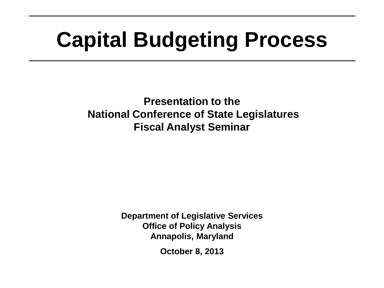## **Capital Budgeting Process**

**Presentation to the National Conference of State Legislatures Fiscal Analyst Seminar**

> **Department of Legislative Services Office of Policy Analysis Annapolis, Maryland**

> > **October 8, 2013**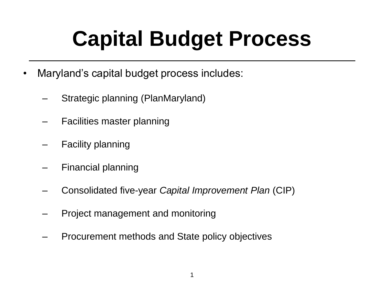## **Capital Budget Process**

- Maryland's capital budget process includes:
	- Strategic planning (PlanMaryland)
	- Facilities master planning
	- Facility planning
	- Financial planning
	- Consolidated five-year *Capital Improvement Plan* (CIP)
	- Project management and monitoring
	- Procurement methods and State policy objectives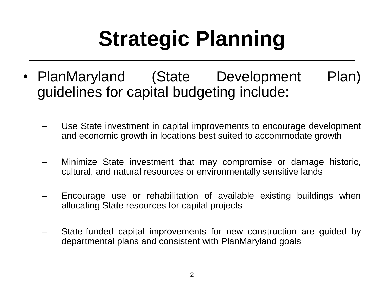# **Strategic Planning**

- PlanMaryland (State Development Plan) guidelines for capital budgeting include:
	- Use State investment in capital improvements to encourage development and economic growth in locations best suited to accommodate growth
	- Minimize State investment that may compromise or damage historic, cultural, and natural resources or environmentally sensitive lands
	- Encourage use or rehabilitation of available existing buildings when allocating State resources for capital projects
	- State-funded capital improvements for new construction are guided by departmental plans and consistent with PlanMaryland goals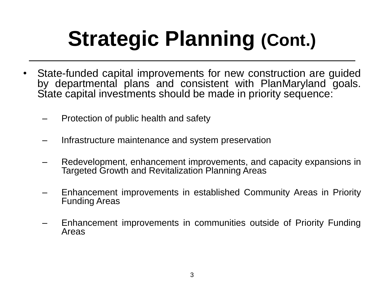# **Strategic Planning (Cont.)**

- State-funded capital improvements for new construction are guided by departmental plans and consistent with PlanMaryland goals. State capital investments should be made in priority sequence:
	- Protection of public health and safety
	- Infrastructure maintenance and system preservation
	- Redevelopment, enhancement improvements, and capacity expansions in Targeted Growth and Revitalization Planning Areas
	- Enhancement improvements in established Community Areas in Priority Funding Areas
	- Enhancement improvements in communities outside of Priority Funding Areas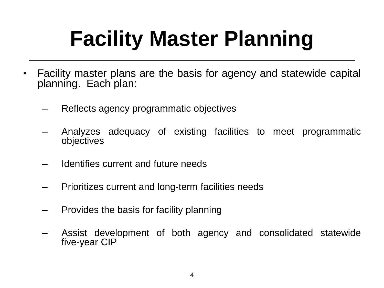## **Facility Master Planning**

- Facility master plans are the basis for agency and statewide capital planning. Each plan:
	- Reflects agency programmatic objectives
	- Analyzes adequacy of existing facilities to meet programmatic objectives
	- Identifies current and future needs
	- Prioritizes current and long-term facilities needs
	- Provides the basis for facility planning
	- Assist development of both agency and consolidated statewide five-year CIP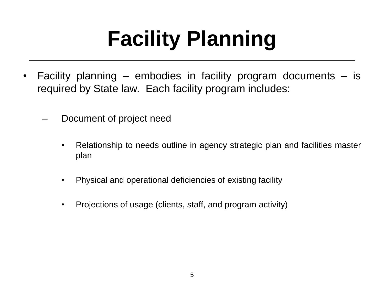# **Facility Planning**

- Facility planning embodies in facility program documents is required by State law. Each facility program includes:
	- Document of project need
		- Relationship to needs outline in agency strategic plan and facilities master plan
		- Physical and operational deficiencies of existing facility
		- Projections of usage (clients, staff, and program activity)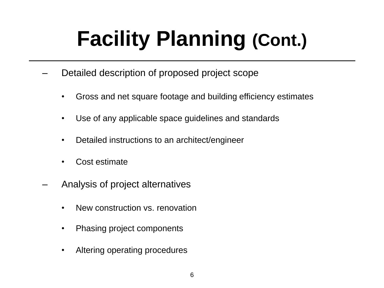# **Facility Planning (Cont.)**

- Detailed description of proposed project scope
	- Gross and net square footage and building efficiency estimates
	- Use of any applicable space guidelines and standards
	- Detailed instructions to an architect/engineer
	- Cost estimate
- Analysis of project alternatives
	- New construction vs. renovation
	- Phasing project components
	- Altering operating procedures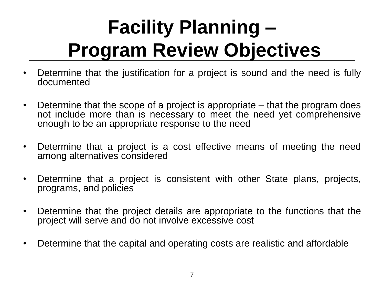## **Facility Planning – Program Review Objectives**

- Determine that the justification for a project is sound and the need is fully documented
- Determine that the scope of a project is appropriate that the program does not include more than is necessary to meet the need yet comprehensive enough to be an appropriate response to the need
- Determine that a project is a cost effective means of meeting the need among alternatives considered
- Determine that a project is consistent with other State plans, projects, programs, and policies
- Determine that the project details are appropriate to the functions that the project will serve and do not involve excessive cost
- Determine that the capital and operating costs are realistic and affordable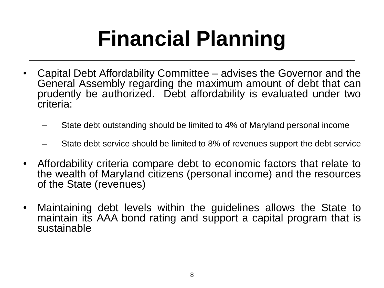## **Financial Planning**

- Capital Debt Affordability Committee advises the Governor and the General Assembly regarding the maximum amount of debt that can prudently be authorized. Debt affordability is evaluated under two criteria:
	- State debt outstanding should be limited to 4% of Maryland personal income
	- State debt service should be limited to 8% of revenues support the debt service
- Affordability criteria compare debt to economic factors that relate to the wealth of Maryland citizens (personal income) and the resources of the State (revenues)
- Maintaining debt levels within the guidelines allows the State to maintain its AAA bond rating and support a capital program that is sustainable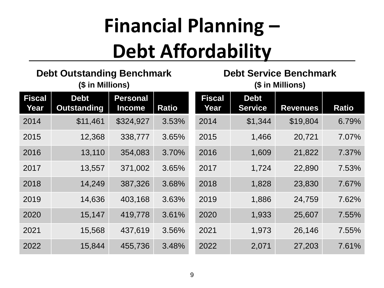## **Financial Planning – Debt Affordability**

**Debt Outstanding Benchmark (\$ in Millions)**

#### **Debt Service Benchmark (\$ in Millions)**

| <b>Fiscal</b><br>Year | <b>Debt</b><br><b>Outstanding</b> | <b>Personal</b><br><b>Income</b> | <b>Ratio</b> | <b>Fiscal</b><br>Year | <b>Debt</b><br><b>Service</b> | <b>Revenues</b> | <b>Ratio</b> |
|-----------------------|-----------------------------------|----------------------------------|--------------|-----------------------|-------------------------------|-----------------|--------------|
| 2014                  | \$11,461                          | \$324,927                        | 3.53%        | 2014                  | \$1,344                       | \$19,804        | 6.79%        |
| 2015                  | 12,368                            | 338,777                          | 3.65%        | 2015                  | 1,466                         | 20,721          | 7.07%        |
| 2016                  | 13,110                            | 354,083                          | 3.70%        | 2016                  | 1,609                         | 21,822          | 7.37%        |
| 2017                  | 13,557                            | 371,002                          | 3.65%        | 2017                  | 1,724                         | 22,890          | 7.53%        |
| 2018                  | 14,249                            | 387,326                          | 3.68%        | 2018                  | 1,828                         | 23,830          | 7.67%        |
| 2019                  | 14,636                            | 403,168                          | 3.63%        | 2019                  | 1,886                         | 24,759          | 7.62%        |
| 2020                  | 15,147                            | 419,778                          | 3.61%        | 2020                  | 1,933                         | 25,607          | 7.55%        |
| 2021                  | 15,568                            | 437,619                          | 3.56%        | 2021                  | 1,973                         | 26,146          | 7.55%        |
| 2022                  | 15,844                            | 455,736                          | 3.48%        | 2022                  | 2,071                         | 27,203          | 7.61%        |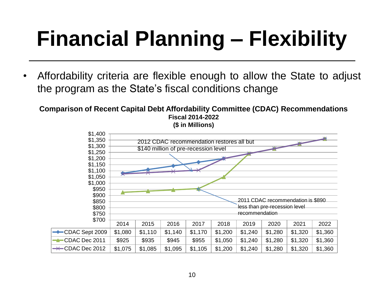## **Financial Planning – Flexibility**

• Affordability criteria are flexible enough to allow the State to adjust the program as the State's fiscal conditions change

**Comparison of Recent Capital Debt Affordability Committee (CDAC) Recommendations Fiscal 2014-2022 (\$ in Millions)**

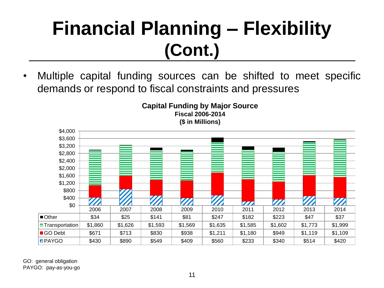### **Financial Planning – Flexibility (Cont.)**

• Multiple capital funding sources can be shifted to meet specific demands or respond to fiscal constraints and pressures





GO: general obligation PAYGO: pay-as-you-go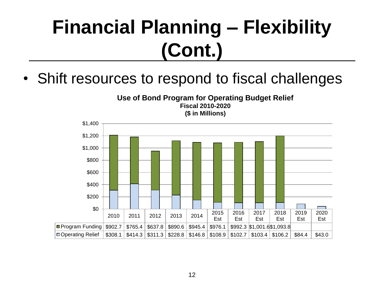### **Financial Planning – Flexibility (Cont.)**

• Shift resources to respond to fiscal challenges

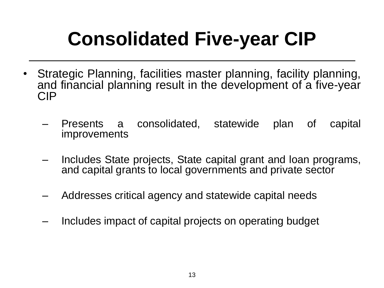## **Consolidated Five-year CIP**

- Strategic Planning, facilities master planning, facility planning, and financial planning result in the development of a five-year CIP
	- Presents a consolidated, statewide plan of capital improvements
	- Includes State projects, State capital grant and loan programs, and capital grants to local governments and private sector
	- Addresses critical agency and statewide capital needs
	- Includes impact of capital projects on operating budget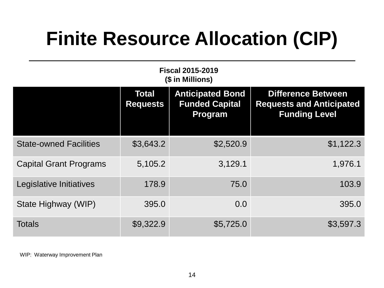### **Finite Resource Allocation (CIP)**

| <b>Fiscal 2015-2019</b><br>(\$ in Millions) |                                 |                                                             |                                                                                      |  |  |  |  |  |
|---------------------------------------------|---------------------------------|-------------------------------------------------------------|--------------------------------------------------------------------------------------|--|--|--|--|--|
|                                             | <b>Total</b><br><b>Requests</b> | <b>Anticipated Bond</b><br><b>Funded Capital</b><br>Program | <b>Difference Between</b><br><b>Requests and Anticipated</b><br><b>Funding Level</b> |  |  |  |  |  |
| <b>State-owned Facilities</b>               | \$3,643.2                       | \$2,520.9                                                   | \$1,122.3                                                                            |  |  |  |  |  |
| <b>Capital Grant Programs</b>               | 5,105.2                         | 3,129.1                                                     | 1,976.1                                                                              |  |  |  |  |  |
| Legislative Initiatives                     | 178.9                           | 75.0                                                        | 103.9                                                                                |  |  |  |  |  |
| State Highway (WIP)                         | 395.0                           | 0.0                                                         | 395.0                                                                                |  |  |  |  |  |
| <b>Totals</b>                               | \$9,322.9                       | \$5,725.0                                                   | \$3,597.3                                                                            |  |  |  |  |  |

WIP: Waterway Improvement Plan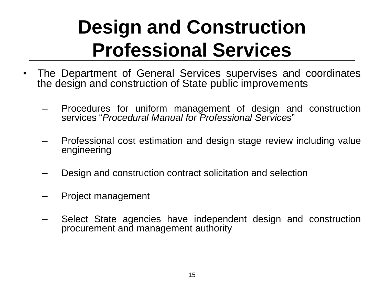### **Design and Construction Professional Services**

- The Department of General Services supervises and coordinates the design and construction of State public improvements
	- Procedures for uniform management of design and construction services "*Procedural Manual for Professional Services*"
	- Professional cost estimation and design stage review including value engineering
	- Design and construction contract solicitation and selection
	- Project management
	- Select State agencies have independent design and construction procurement and management authority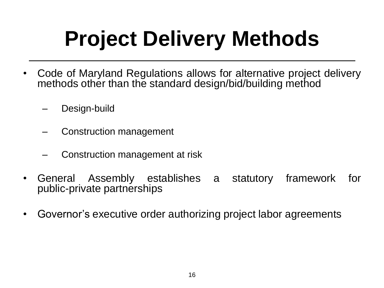## **Project Delivery Methods**

- Code of Maryland Regulations allows for alternative project delivery methods other than the standard design/bid/building method
	- Design-build
	- Construction management
	- Construction management at risk
- General Assembly establishes a statutory framework for public-private partnerships
- Governor's executive order authorizing project labor agreements